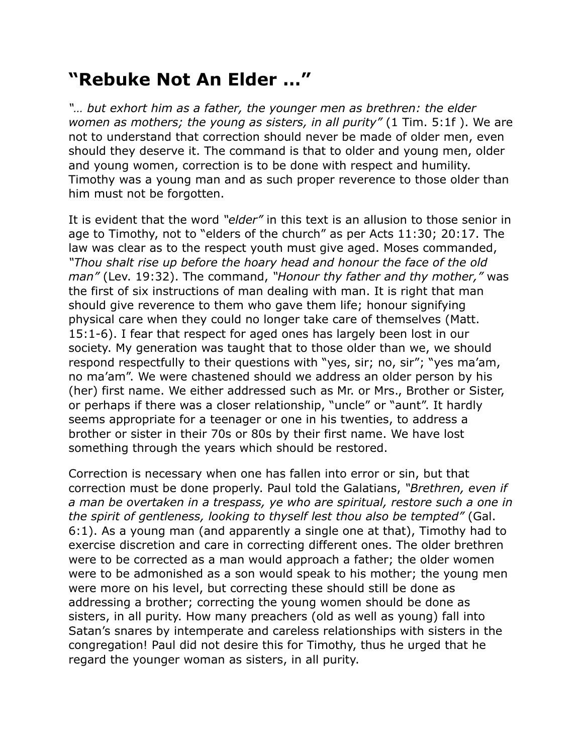## **"Rebuke Not An Elder …"**

*"… but exhort him as a father, the younger men as brethren: the elder women as mothers; the young as sisters, in all purity"* (1 Tim. 5:1f ). We are not to understand that correction should never be made of older men, even should they deserve it. The command is that to older and young men, older and young women, correction is to be done with respect and humility. Timothy was a young man and as such proper reverence to those older than him must not be forgotten.

It is evident that the word *"elder"* in this text is an allusion to those senior in age to Timothy, not to "elders of the church" as per Acts 11:30; 20:17. The law was clear as to the respect youth must give aged. Moses commanded, *"Thou shalt rise up before the hoary head and honour the face of the old man"* (Lev. 19:32). The command, *"Honour thy father and thy mother,"* was the first of six instructions of man dealing with man. It is right that man should give reverence to them who gave them life; honour signifying physical care when they could no longer take care of themselves (Matt. 15:1-6). I fear that respect for aged ones has largely been lost in our society. My generation was taught that to those older than we, we should respond respectfully to their questions with "yes, sir; no, sir"; "yes ma'am, no ma'am". We were chastened should we address an older person by his (her) first name. We either addressed such as Mr. or Mrs., Brother or Sister, or perhaps if there was a closer relationship, "uncle" or "aunt". It hardly seems appropriate for a teenager or one in his twenties, to address a brother or sister in their 70s or 80s by their first name. We have lost something through the years which should be restored.

Correction is necessary when one has fallen into error or sin, but that correction must be done properly. Paul told the Galatians, *"Brethren, even if a man be overtaken in a trespass, ye who are spiritual, restore such a one in the spirit of gentleness, looking to thyself lest thou also be tempted"* (Gal. 6:1). As a young man (and apparently a single one at that), Timothy had to exercise discretion and care in correcting different ones. The older brethren were to be corrected as a man would approach a father; the older women were to be admonished as a son would speak to his mother; the young men were more on his level, but correcting these should still be done as addressing a brother; correcting the young women should be done as sisters, in all purity. How many preachers (old as well as young) fall into Satan's snares by intemperate and careless relationships with sisters in the congregation! Paul did not desire this for Timothy, thus he urged that he regard the younger woman as sisters, in all purity.